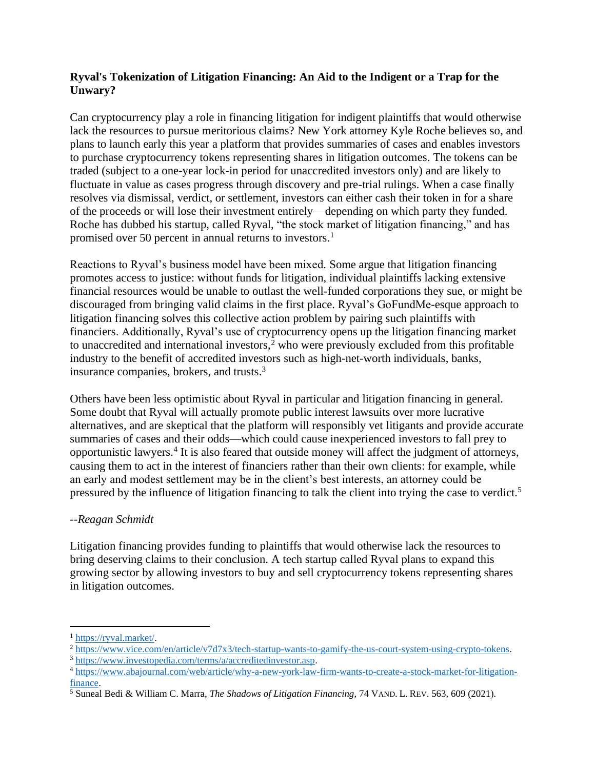## **Ryval's Tokenization of Litigation Financing: An Aid to the Indigent or a Trap for the Unwary?**

Can cryptocurrency play a role in financing litigation for indigent plaintiffs that would otherwise lack the resources to pursue meritorious claims? New York attorney Kyle Roche believes so, and plans to launch early this year a platform that provides summaries of cases and enables investors to purchase cryptocurrency tokens representing shares in litigation outcomes. The tokens can be traded (subject to a one-year lock-in period for unaccredited investors only) and are likely to fluctuate in value as cases progress through discovery and pre-trial rulings. When a case finally resolves via dismissal, verdict, or settlement, investors can either cash their token in for a share of the proceeds or will lose their investment entirely—depending on which party they funded. Roche has dubbed his startup, called Ryval, "the stock market of litigation financing," and has promised over 50 percent in annual returns to investors.<sup>1</sup>

Reactions to Ryval's business model have been mixed. Some argue that litigation financing promotes access to justice: without funds for litigation, individual plaintiffs lacking extensive financial resources would be unable to outlast the well-funded corporations they sue, or might be discouraged from bringing valid claims in the first place. Ryval's GoFundMe-esque approach to litigation financing solves this collective action problem by pairing such plaintiffs with financiers. Additionally, Ryval's use of cryptocurrency opens up the litigation financing market to unaccredited and international investors, $2$  who were previously excluded from this profitable industry to the benefit of accredited investors such as high-net-worth individuals, banks, insurance companies, brokers, and trusts. 3

Others have been less optimistic about Ryval in particular and litigation financing in general. Some doubt that Ryval will actually promote public interest lawsuits over more lucrative alternatives, and are skeptical that the platform will responsibly vet litigants and provide accurate summaries of cases and their odds—which could cause inexperienced investors to fall prey to opportunistic lawyers.<sup>4</sup> It is also feared that outside money will affect the judgment of attorneys, causing them to act in the interest of financiers rather than their own clients: for example, while an early and modest settlement may be in the client's best interests, an attorney could be pressured by the influence of litigation financing to talk the client into trying the case to verdict.<sup>5</sup>

## --*Reagan Schmidt*

Litigation financing provides funding to plaintiffs that would otherwise lack the resources to bring deserving claims to their conclusion. A tech startup called Ryval plans to expand this growing sector by allowing investors to buy and sell cryptocurrency tokens representing shares in litigation outcomes.

<sup>1</sup> [https://ryval.market/.](https://ryval.market/)

<sup>2</sup> [https://www.vice.com/en/article/v7d7x3/tech-startup-wants-to-gamify-the-us-court-system-using-crypto-tokens.](https://www.vice.com/en/article/v7d7x3/tech-startup-wants-to-gamify-the-us-court-system-using-crypto-tokens) 

<sup>3</sup> [https://www.investopedia.com/terms/a/accreditedinvestor.asp.](https://www.investopedia.com/terms/a/accreditedinvestor.asp)

<sup>4</sup> [https://www.abajournal.com/web/article/why-a-new-york-law-firm-wants-to-create-a-stock-market-for-litigation](https://www.abajournal.com/web/article/why-a-new-york-law-firm-wants-to-create-a-stock-market-for-litigation-finance)[finance.](https://www.abajournal.com/web/article/why-a-new-york-law-firm-wants-to-create-a-stock-market-for-litigation-finance)

<sup>5</sup> Suneal Bedi & William C. Marra, *The Shadows of Litigation Financing*, 74 VAND. L. REV. 563, 609 (2021).